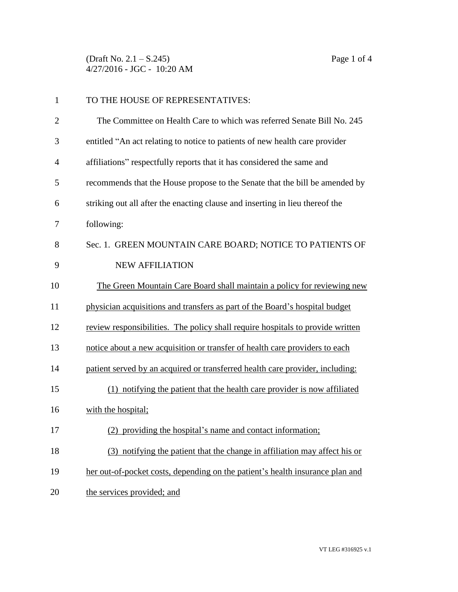(Draft No. 2.1 – S.245) Page 1 of 4 4/27/2016 - JGC - 10:20 AM

| $\mathbf{1}$   | TO THE HOUSE OF REPRESENTATIVES:                                               |
|----------------|--------------------------------------------------------------------------------|
| $\overline{2}$ | The Committee on Health Care to which was referred Senate Bill No. 245         |
| 3              | entitled "An act relating to notice to patients of new health care provider    |
| $\overline{4}$ | affiliations" respectfully reports that it has considered the same and         |
| 5              | recommends that the House propose to the Senate that the bill be amended by    |
| 6              | striking out all after the enacting clause and inserting in lieu thereof the   |
| 7              | following:                                                                     |
| 8              | Sec. 1. GREEN MOUNTAIN CARE BOARD; NOTICE TO PATIENTS OF                       |
| 9              | <b>NEW AFFILIATION</b>                                                         |
| 10             | The Green Mountain Care Board shall maintain a policy for reviewing new        |
| 11             | physician acquisitions and transfers as part of the Board's hospital budget    |
| 12             | review responsibilities. The policy shall require hospitals to provide written |
| 13             | notice about a new acquisition or transfer of health care providers to each    |
| 14             | patient served by an acquired or transferred health care provider, including:  |
| 15             | (1) notifying the patient that the health care provider is now affiliated      |
| 16             | with the hospital;                                                             |
| 17             | (2) providing the hospital's name and contact information;                     |
| 18             | (3) notifying the patient that the change in affiliation may affect his or     |
| 19             | her out-of-pocket costs, depending on the patient's health insurance plan and  |
| 20             | the services provided; and                                                     |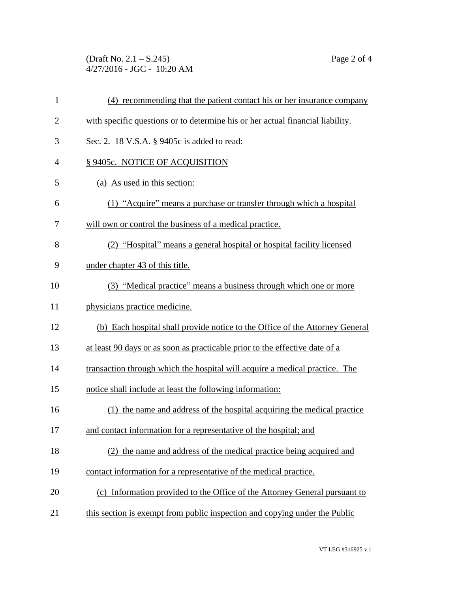(Draft No. 2.1 – S.245) Page 2 of 4 4/27/2016 - JGC - 10:20 AM

| $\mathbf{1}$   | (4) recommending that the patient contact his or her insurance company         |
|----------------|--------------------------------------------------------------------------------|
| $\overline{2}$ | with specific questions or to determine his or her actual financial liability. |
| 3              | Sec. 2. 18 V.S.A. § 9405c is added to read:                                    |
| $\overline{4}$ | § 9405c. NOTICE OF ACQUISITION                                                 |
| 5              | (a) As used in this section:                                                   |
| 6              | (1) "Acquire" means a purchase or transfer through which a hospital            |
| 7              | will own or control the business of a medical practice.                        |
| 8              | (2) "Hospital" means a general hospital or hospital facility licensed          |
| 9              | under chapter 43 of this title.                                                |
| 10             | (3) "Medical practice" means a business through which one or more              |
| 11             | physicians practice medicine.                                                  |
| 12             | (b) Each hospital shall provide notice to the Office of the Attorney General   |
| 13             | at least 90 days or as soon as practicable prior to the effective date of a    |
| 14             | transaction through which the hospital will acquire a medical practice. The    |
| 15             | notice shall include at least the following information:                       |
| 16             | (1) the name and address of the hospital acquiring the medical practice        |
| 17             | and contact information for a representative of the hospital; and              |
| 18             | (2) the name and address of the medical practice being acquired and            |
| 19             | contact information for a representative of the medical practice.              |
| 20             | (c) Information provided to the Office of the Attorney General pursuant to     |
| 21             | this section is exempt from public inspection and copying under the Public     |
|                |                                                                                |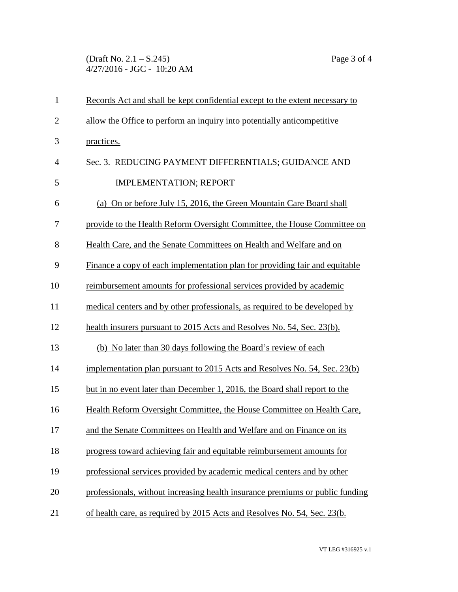(Draft No. 2.1 – S.245) Page 3 of 4 4/27/2016 - JGC - 10:20 AM

| $\mathbf{1}$   | Records Act and shall be kept confidential except to the extent necessary to  |  |  |
|----------------|-------------------------------------------------------------------------------|--|--|
| $\overline{2}$ | allow the Office to perform an inquiry into potentially anticompetitive       |  |  |
| 3              | practices.                                                                    |  |  |
| $\overline{4}$ | Sec. 3. REDUCING PAYMENT DIFFERENTIALS; GUIDANCE AND                          |  |  |
| 5              | <b>IMPLEMENTATION; REPORT</b>                                                 |  |  |
| 6              | (a) On or before July 15, 2016, the Green Mountain Care Board shall           |  |  |
| 7              | provide to the Health Reform Oversight Committee, the House Committee on      |  |  |
| 8              | Health Care, and the Senate Committees on Health and Welfare and on           |  |  |
| 9              | Finance a copy of each implementation plan for providing fair and equitable   |  |  |
| 10             | reimbursement amounts for professional services provided by academic          |  |  |
| 11             | medical centers and by other professionals, as required to be developed by    |  |  |
| 12             | health insurers pursuant to 2015 Acts and Resolves No. 54, Sec. 23(b).        |  |  |
| 13             | (b) No later than 30 days following the Board's review of each                |  |  |
| 14             | implementation plan pursuant to 2015 Acts and Resolves No. 54, Sec. 23(b)     |  |  |
| 15             | but in no event later than December 1, 2016, the Board shall report to the    |  |  |
| 16             | Health Reform Oversight Committee, the House Committee on Health Care,        |  |  |
| 17             | and the Senate Committees on Health and Welfare and on Finance on its         |  |  |
| 18             | progress toward achieving fair and equitable reimbursement amounts for        |  |  |
| 19             | professional services provided by academic medical centers and by other       |  |  |
| 20             | professionals, without increasing health insurance premiums or public funding |  |  |
| 21             | of health care, as required by 2015 Acts and Resolves No. 54, Sec. 23(b.      |  |  |